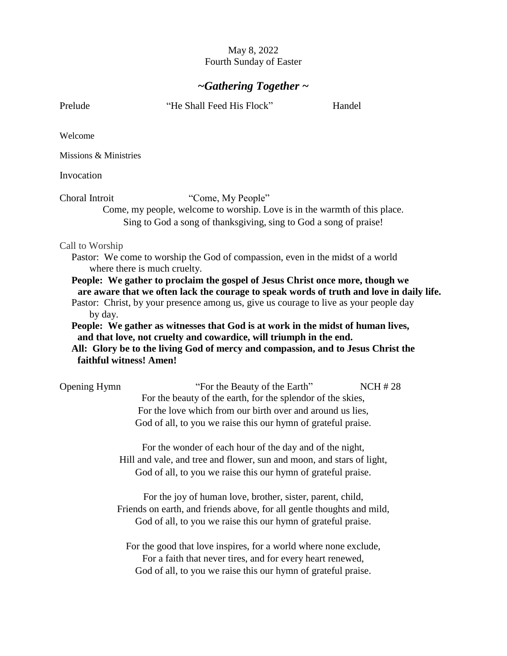## May 8, 2022 Fourth Sunday of Easter

## *~Gathering Together ~*

Prelude "He Shall Feed His Flock" Handel Welcome Missions & Ministries Invocation Choral Introit "Come, My People" Come, my people, welcome to worship. Love is in the warmth of this place. Sing to God a song of thanksgiving, sing to God a song of praise! Call to Worship Pastor: We come to worship the God of compassion, even in the midst of a world where there is much cruelty. **People: We gather to proclaim the gospel of Jesus Christ once more, though we are aware that we often lack the courage to speak words of truth and love in daily life.**  Pastor: Christ, by your presence among us, give us courage to live as your people day by day. **People: We gather as witnesses that God is at work in the midst of human lives, and that love, not cruelty and cowardice, will triumph in the end. All: Glory be to the living God of mercy and compassion, and to Jesus Christ the faithful witness! Amen!** Opening Hymn **The Seauty of the Earth**  $\cdot$  NCH # 28 For the beauty of the earth, for the splendor of the skies, For the love which from our birth over and around us lies, God of all, to you we raise this our hymn of grateful praise. For the wonder of each hour of the day and of the night, Hill and vale, and tree and flower, sun and moon, and stars of light, God of all, to you we raise this our hymn of grateful praise. For the joy of human love, brother, sister, parent, child, Friends on earth, and friends above, for all gentle thoughts and mild, God of all, to you we raise this our hymn of grateful praise. For the good that love inspires, for a world where none exclude, For a faith that never tires, and for every heart renewed, God of all, to you we raise this our hymn of grateful praise.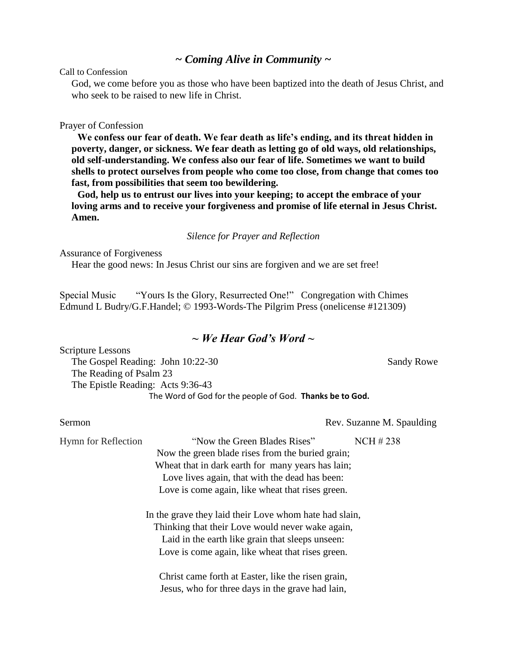### *~ Coming Alive in Community ~*

Call to Confession

God, we come before you as those who have been baptized into the death of Jesus Christ, and who seek to be raised to new life in Christ.

### Prayer of Confession

**We confess our fear of death. We fear death as life's ending, and its threat hidden in poverty, danger, or sickness. We fear death as letting go of old ways, old relationships, old self-understanding. We confess also our fear of life. Sometimes we want to build shells to protect ourselves from people who come too close, from change that comes too fast, from possibilities that seem too bewildering.** 

**God, help us to entrust our lives into your keeping; to accept the embrace of your loving arms and to receive your forgiveness and promise of life eternal in Jesus Christ. Amen.** 

### *Silence for Prayer and Reflection*

Assurance of Forgiveness

Hear the good news: In Jesus Christ our sins are forgiven and we are set free!

Special Music "Yours Is the Glory, Resurrected One!" Congregation with Chimes Edmund L Budry/G.F.Handel; © 1993-Words-The Pilgrim Press (onelicense #121309)

## *~ We Hear God's Word ~*

| <b>Scripture Lessons</b>                                 |                   |
|----------------------------------------------------------|-------------------|
| The Gospel Reading: John 10:22-30                        | <b>Sandy Rowe</b> |
| The Reading of Psalm 23                                  |                   |
| The Epistle Reading: Acts 9:36-43                        |                   |
| The Word of God for the people of God. Thanks be to God. |                   |

Sermon Rev. Suzanne M. Spaulding

Hymn for Reflection "Now the Green Blades Rises" NCH # 238 Now the green blade rises from the buried grain; Wheat that in dark earth for many years has lain; Love lives again, that with the dead has been: Love is come again, like wheat that rises green.

> In the grave they laid their Love whom hate had slain, Thinking that their Love would never wake again, Laid in the earth like grain that sleeps unseen: Love is come again, like wheat that rises green.

Christ came forth at Easter, like the risen grain, Jesus, who for three days in the grave had lain,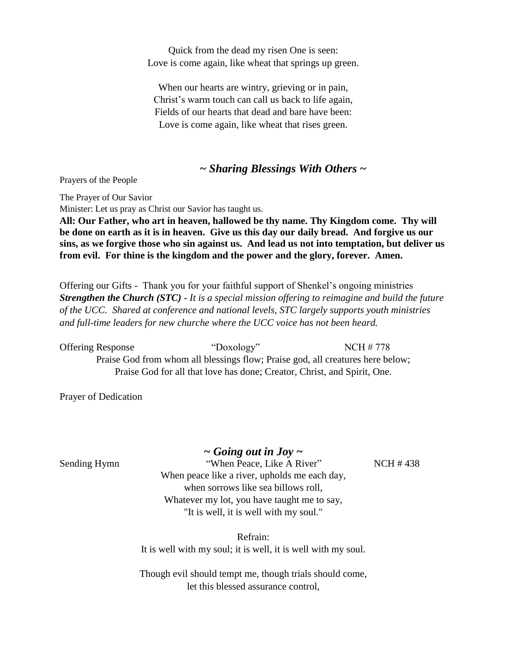Quick from the dead my risen One is seen: Love is come again, like wheat that springs up green.

When our hearts are wintry, grieving or in pain, Christ's warm touch can call us back to life again, Fields of our hearts that dead and bare have been: Love is come again, like wheat that rises green.

### *~ Sharing Blessings With Others ~*

Prayers of the People

The Prayer of Our Savior

Minister: Let us pray as Christ our Savior has taught us.

**All: Our Father, who art in heaven, hallowed be thy name. Thy Kingdom come. Thy will be done on earth as it is in heaven. Give us this day our daily bread. And forgive us our sins, as we forgive those who sin against us. And lead us not into temptation, but deliver us from evil. For thine is the kingdom and the power and the glory, forever. Amen.**

Offering our Gifts - Thank you for your faithful support of Shenkel's ongoing ministries *Strengthen the Church (STC) - It is a special mission offering to reimagine and build the future of the UCC. Shared at conference and national levels, STC largely supports youth ministries and full-time leaders for new churche where the UCC voice has not been heard.* 

Offering Response "Doxology" NCH # 778 Praise God from whom all blessings flow; Praise god, all creatures here below; Praise God for all that love has done; Creator, Christ, and Spirit, One.

Prayer of Dedication

*~ Going out in Joy ~*

Sending Hymn "When Peace, Like A River" NCH # 438 When peace like a river, upholds me each day, when sorrows like sea billows roll, Whatever my lot, you have taught me to say, "It is well, it is well with my soul."

> Refrain: It is well with my soul; it is well, it is well with my soul.

> Though evil should tempt me, though trials should come, let this blessed assurance control,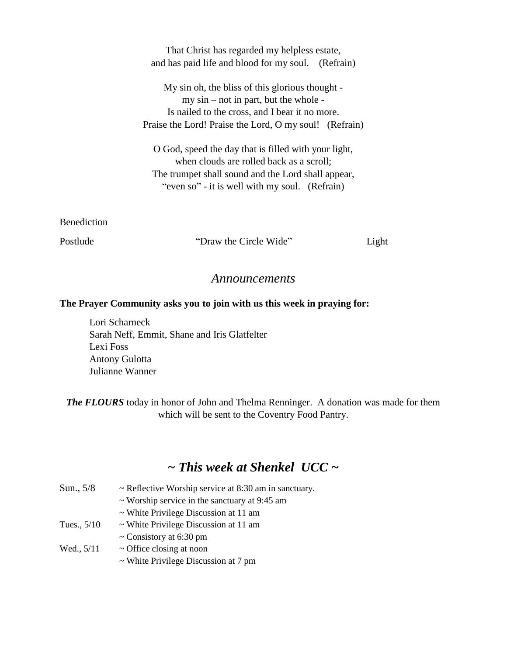That Christ has regarded my helpless estate, and has paid life and blood for my soul. (Refrain)

My sin oh, the bliss of this glorious thought my sin – not in part, but the whole - Is nailed to the cross, and I bear it no more. Praise the Lord! Praise the Lord, O my soul! (Refrain)

O God, speed the day that is filled with your light, when clouds are rolled back as a scroll; The trumpet shall sound and the Lord shall appear, "even so" - it is well with my soul. (Refrain)

Benediction

Postlude "Draw the Circle Wide" Light

## *Announcements*

### **The Prayer Community asks you to join with us this week in praying for:**

Lori Scharneck Sarah Neff, Emmit, Shane and Iris Glatfelter Lexi Foss Antony Gulotta Julianne Wanner

*The FLOURS* today in honor of John and Thelma Renninger. A donation was made for them which will be sent to the Coventry Food Pantry.

# *~ This week at Shenkel UCC ~*

| Sun., 5/8     | $\sim$ Reflective Worship service at 8:30 am in sanctuary. |
|---------------|------------------------------------------------------------|
|               | $\sim$ Worship service in the sanctuary at 9:45 am         |
|               | $\sim$ White Privilege Discussion at 11 am                 |
| Tues., $5/10$ | $\sim$ White Privilege Discussion at 11 am                 |
|               | $\sim$ Consistory at 6:30 pm                               |
| Wed., $5/11$  | $\sim$ Office closing at noon                              |
|               | $\sim$ White Privilege Discussion at 7 pm                  |
|               |                                                            |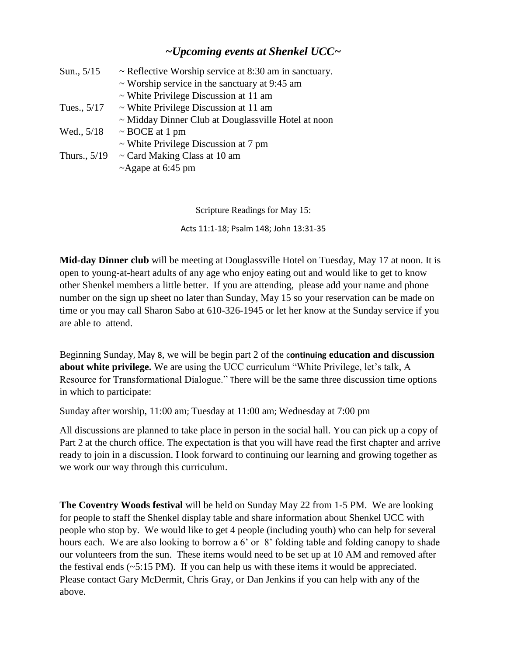# *~Upcoming events at Shenkel UCC~*

| Sun., $5/15$   | $\sim$ Reflective Worship service at 8:30 am in sanctuary. |
|----------------|------------------------------------------------------------|
|                | $\sim$ Worship service in the sanctuary at 9:45 am         |
|                | $\sim$ White Privilege Discussion at 11 am                 |
| Tues., 5/17    | $\sim$ White Privilege Discussion at 11 am                 |
|                | $\sim$ Midday Dinner Club at Douglassville Hotel at noon   |
| Wed., $5/18$   | $\sim$ BOCE at 1 pm                                        |
|                | $\sim$ White Privilege Discussion at 7 pm                  |
| Thurs., $5/19$ | $\sim$ Card Making Class at 10 am                          |
|                | ~Agape at 6:45 pm                                          |

Scripture Readings for May 15:

Acts 11:1-18; Psalm 148; John 13:31-35

**Mid-day Dinner club** will be meeting at Douglassville Hotel on Tuesday, May 17 at noon. It is open to young-at-heart adults of any age who enjoy eating out and would like to get to know other Shenkel members a little better. If you are attending, please add your name and phone number on the sign up sheet no later than Sunday, May 15 so your reservation can be made on time or you may call Sharon Sabo at 610-326-1945 or let her know at the Sunday service if you are able to attend.

Beginning Sunday, May 8, we will be begin part 2 of the c**ontinuing education and discussion about white privilege.** We are using the UCC curriculum "White Privilege, let's talk, A Resource for Transformational Dialogue." There will be the same three discussion time options in which to participate:

Sunday after worship, 11:00 am; Tuesday at 11:00 am; Wednesday at 7:00 pm

All discussions are planned to take place in person in the social hall. You can pick up a copy of Part 2 at the church office. The expectation is that you will have read the first chapter and arrive ready to join in a discussion. I look forward to continuing our learning and growing together as we work our way through this curriculum.

**The Coventry Woods festival** will be held on Sunday May 22 from 1-5 PM. We are looking for people to staff the Shenkel display table and share information about Shenkel UCC with people who stop by. We would like to get 4 people (including youth) who can help for several hours each. We are also looking to borrow a 6' or 8' folding table and folding canopy to shade our volunteers from the sun. These items would need to be set up at 10 AM and removed after the festival ends  $(-5:15 \text{ PM})$ . If you can help us with these items it would be appreciated. Please contact Gary McDermit, Chris Gray, or Dan Jenkins if you can help with any of the above.